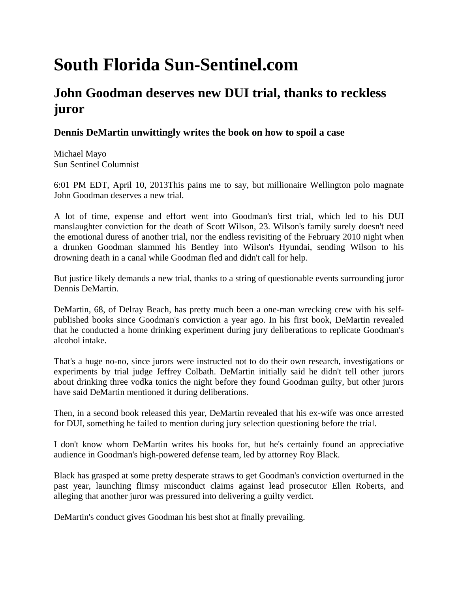## **South Florida Sun-Sentinel.com**

## **John Goodman deserves new DUI trial, thanks to reckless juror**

## **Dennis DeMartin unwittingly writes the book on how to spoil a case**

Michael Mayo Sun Sentinel Columnist

6:01 PM EDT, April 10, 2013This pains me to say, but millionaire Wellington polo magnate John Goodman deserves a new trial.

A lot of time, expense and effort went into Goodman's first trial, which led to his DUI manslaughter conviction for the death of Scott Wilson, 23. Wilson's family surely doesn't need the emotional duress of another trial, nor the endless revisiting of the February 2010 night when a drunken Goodman slammed his Bentley into Wilson's Hyundai, sending Wilson to his drowning death in a canal while Goodman fled and didn't call for help.

But justice likely demands a new trial, thanks to a string of questionable events surrounding juror Dennis DeMartin.

DeMartin, 68, of Delray Beach, has pretty much been a one-man wrecking crew with his selfpublished books since Goodman's conviction a year ago. In his first book, DeMartin revealed that he conducted a home drinking experiment during jury deliberations to replicate Goodman's alcohol intake.

That's a huge no-no, since jurors were instructed not to do their own research, investigations or experiments by trial judge Jeffrey Colbath. DeMartin initially said he didn't tell other jurors about drinking three vodka tonics the night before they found Goodman guilty, but other jurors have said DeMartin mentioned it during deliberations.

Then, in a second book released this year, DeMartin revealed that his ex-wife was once arrested for DUI, something he failed to mention during jury selection questioning before the trial.

I don't know whom DeMartin writes his books for, but he's certainly found an appreciative audience in Goodman's high-powered defense team, led by attorney Roy Black.

Black has grasped at some pretty desperate straws to get Goodman's conviction overturned in the past year, launching flimsy misconduct claims against lead prosecutor Ellen Roberts, and alleging that another juror was pressured into delivering a guilty verdict.

DeMartin's conduct gives Goodman his best shot at finally prevailing.